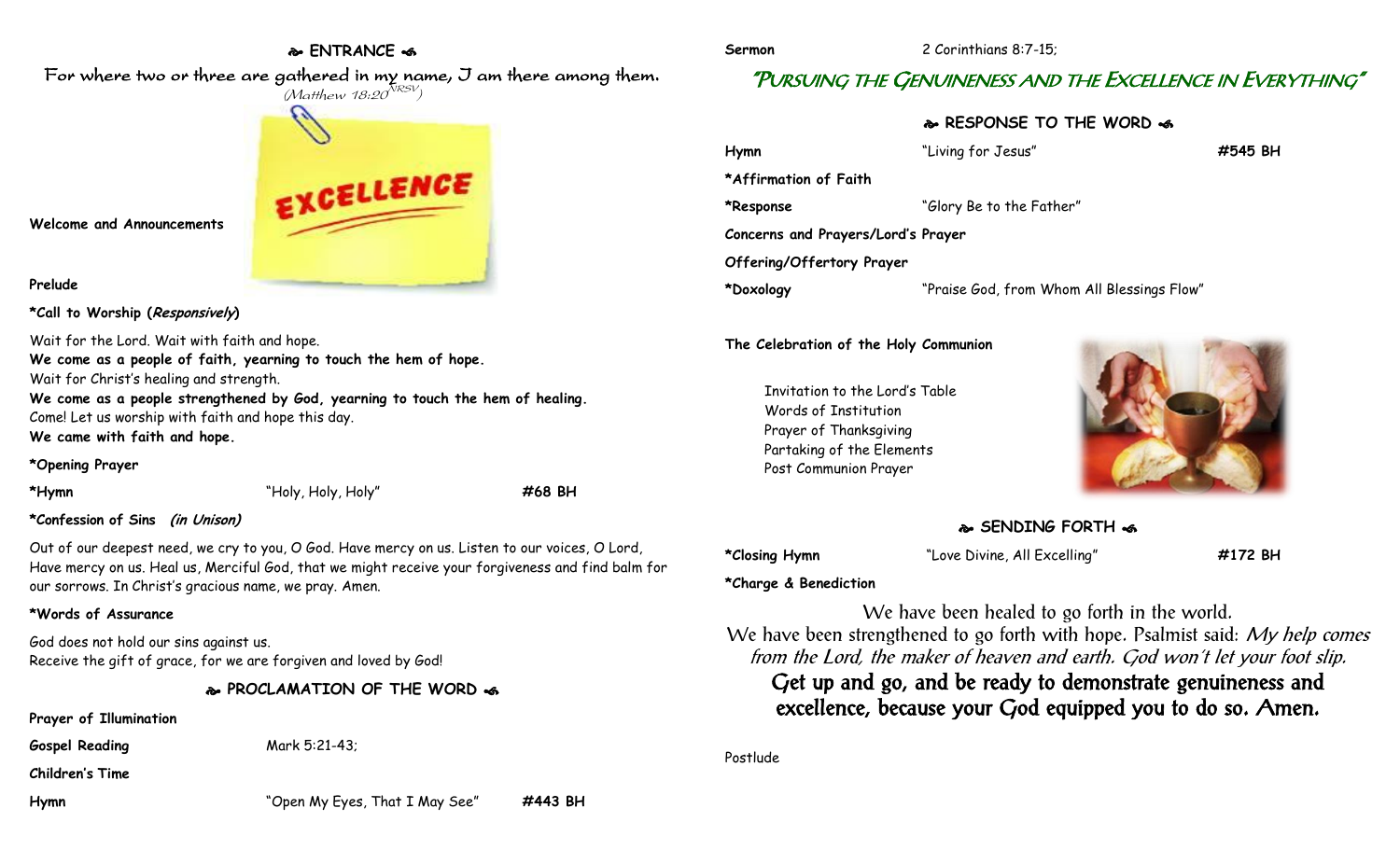# **ENTRANCE**

For where two or three are gathered in my name, I am there among them.

# $(M$ atthew 18:20 $^{NRSV})$ EXCELLENCE

**Welcome and Announcements**

## **Prelude**

**\*Call to Worship (Responsively)** 

Wait for the Lord. Wait with faith and hope.

**We come as a people of faith, yearning to touch the hem of hope.** Wait for Christ's healing and strength. **We come as a people strengthened by God, yearning to touch the hem of healing.**

Come! Let us worship with faith and hope this day.

**We came with faith and hope.**

**\*Opening Prayer**

**\*Hymn** "Holy, Holy, Holy" **#68 BH**

# **\*Confession of Sins (in Unison)**

Out of our deepest need, we cry to you, O God. Have mercy on us. Listen to our voices, O Lord, Have mercy on us. Heal us, Merciful God, that we might receive your forgiveness and find balm for our sorrows. In Christ's gracious name, we pray. Amen.

# **\*Words of Assurance**

God does not hold our sins against us. Receive the gift of grace, for we are forgiven and loved by God!

**PROCLAMATION OF THE WORD** 

**Prayer of Illumination**

Gospel Reading Mark 5:21-43;

**Children's Time**

**Sermon** 2 Corinthians 8:7-15;

# "PURSUING THE GENUINENESS AND THE EXCELLENCE IN EVERYTHING"

**RESPONSE TO THE WORD** 

**Hymn** "Living for Jesus" **#545 BH \*Affirmation of Faith \*Response** "Glory Be to the Father" **Concerns and Prayers/Lord's Prayer Offering/Offertory Prayer \*Doxology** "Praise God, from Whom All Blessings Flow"

# **The Celebration of the Holy Communion**

Invitation to the Lord's Table Words of Institution Prayer of Thanksgiving Partaking of the Elements Post Communion Prayer



# **SENDING FORTH**

**\*Closing Hymn** "Love Divine, All Excelling" **#172 BH**

# **\*Charge & Benediction**

We have been healed to go forth in the world. We have been strengthened to go forth with hope. Psalmist said: My help comes from the Lord, the maker of heaven and earth. God won't let your foot slip. Get up and go, and be ready to demonstrate genuineness and excellence, because your God equipped you to do so. Amen.

Postlude